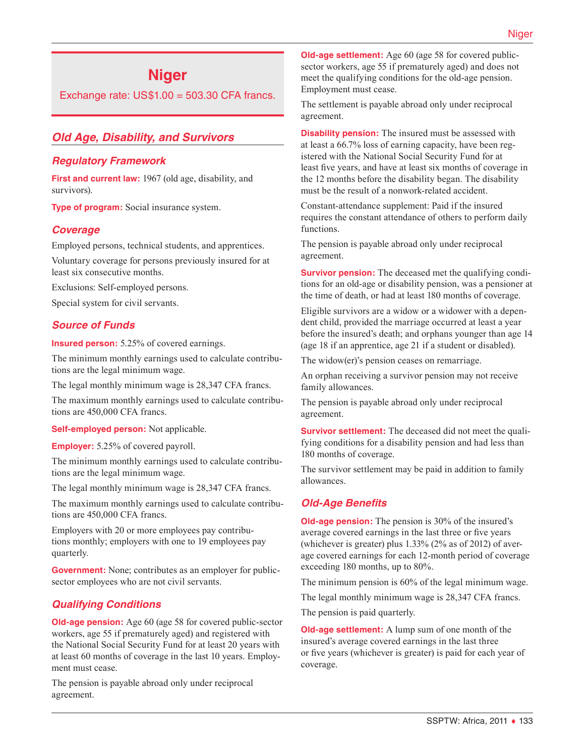# **Niger**

Exchange rate:  $US$1.00 = 503.30$  CFA francs.

# *Old Age, Disability, and Survivors*

#### *Regulatory Framework*

**First and current law:** 1967 (old age, disability, and survivors).

**Type of program:** Social insurance system.

#### *Coverage*

Employed persons, technical students, and apprentices.

Voluntary coverage for persons previously insured for at least six consecutive months.

Exclusions: Self-employed persons.

Special system for civil servants.

#### *Source of Funds*

**Insured person:** 5.25% of covered earnings.

The minimum monthly earnings used to calculate contributions are the legal minimum wage.

The legal monthly minimum wage is 28,347 CFA francs.

The maximum monthly earnings used to calculate contributions are 450,000 CFA francs.

**Self-employed person:** Not applicable.

**Employer:** 5.25% of covered payroll.

The minimum monthly earnings used to calculate contributions are the legal minimum wage.

The legal monthly minimum wage is 28,347 CFA francs.

The maximum monthly earnings used to calculate contributions are 450,000 CFA francs.

Employers with 20 or more employees pay contributions monthly; employers with one to 19 employees pay quarterly.

**Government:** None; contributes as an employer for publicsector employees who are not civil servants.

## *Qualifying Conditions*

**Old-age pension:** Age 60 (age 58 for covered public-sector workers, age 55 if prematurely aged) and registered with the National Social Security Fund for at least 20 years with at least 60 months of coverage in the last 10 years. Employment must cease.

The pension is payable abroad only under reciprocal agreement.

**Old-age settlement:** Age 60 (age 58 for covered publicsector workers, age 55 if prematurely aged) and does not meet the qualifying conditions for the old-age pension. Employment must cease.

The settlement is payable abroad only under reciprocal agreement.

**Disability pension:** The insured must be assessed with at least a 66.7% loss of earning capacity, have been registered with the National Social Security Fund for at least five years, and have at least six months of coverage in the 12 months before the disability began. The disability must be the result of a nonwork-related accident.

Constant-attendance supplement: Paid if the insured requires the constant attendance of others to perform daily functions.

The pension is payable abroad only under reciprocal agreement.

**Survivor pension:** The deceased met the qualifying conditions for an old-age or disability pension, was a pensioner at the time of death, or had at least 180 months of coverage.

Eligible survivors are a widow or a widower with a dependent child, provided the marriage occurred at least a year before the insured's death; and orphans younger than age 14 (age 18 if an apprentice, age 21 if a student or disabled).

The widow(er)'s pension ceases on remarriage.

An orphan receiving a survivor pension may not receive family allowances.

The pension is payable abroad only under reciprocal agreement.

**Survivor settlement:** The deceased did not meet the qualifying conditions for a disability pension and had less than 180 months of coverage.

The survivor settlement may be paid in addition to family allowances.

#### *Old-Age Benefits*

**Old-age pension:** The pension is 30% of the insured's average covered earnings in the last three or five years (whichever is greater) plus 1.33% (2% as of 2012) of average covered earnings for each 12-month period of coverage exceeding 180 months, up to 80%.

The minimum pension is 60% of the legal minimum wage.

The legal monthly minimum wage is 28,347 CFA francs.

The pension is paid quarterly.

**Old-age settlement:** A lump sum of one month of the insured's average covered earnings in the last three or five years (whichever is greater) is paid for each year of coverage.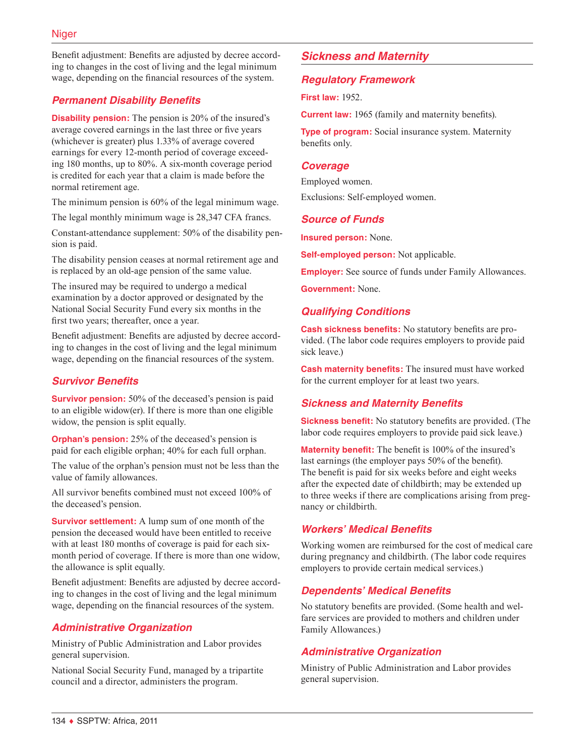Benefit adjustment: Benefits are adjusted by decree according to changes in the cost of living and the legal minimum wage, depending on the financial resources of the system.

# *Permanent Disability Benefits*

**Disability pension:** The pension is 20% of the insured's average covered earnings in the last three or five years (whichever is greater) plus 1.33% of average covered earnings for every 12-month period of coverage exceeding 180 months, up to 80%. A six-month coverage period is credited for each year that a claim is made before the normal retirement age.

The minimum pension is 60% of the legal minimum wage.

The legal monthly minimum wage is 28,347 CFA francs.

Constant-attendance supplement: 50% of the disability pension is paid.

The disability pension ceases at normal retirement age and is replaced by an old-age pension of the same value.

The insured may be required to undergo a medical examination by a doctor approved or designated by the National Social Security Fund every six months in the first two years; thereafter, once a year.

Benefit adjustment: Benefits are adjusted by decree according to changes in the cost of living and the legal minimum wage, depending on the financial resources of the system.

# *Survivor Benefits*

**Survivor pension:** 50% of the deceased's pension is paid to an eligible widow(er). If there is more than one eligible widow, the pension is split equally.

**Orphan's pension:** 25% of the deceased's pension is paid for each eligible orphan; 40% for each full orphan.

The value of the orphan's pension must not be less than the value of family allowances.

All survivor benefits combined must not exceed 100% of the deceased's pension.

**Survivor settlement:** A lump sum of one month of the pension the deceased would have been entitled to receive with at least 180 months of coverage is paid for each sixmonth period of coverage. If there is more than one widow, the allowance is split equally.

Benefit adjustment: Benefits are adjusted by decree according to changes in the cost of living and the legal minimum wage, depending on the financial resources of the system.

# *Administrative Organization*

Ministry of Public Administration and Labor provides general supervision.

National Social Security Fund, managed by a tripartite council and a director, administers the program.

# *Sickness and Maternity*

## *Regulatory Framework*

**First law:** 1952.

**Current law:** 1965 (family and maternity benefits).

**Type of program:** Social insurance system. Maternity benefits only.

#### *Coverage*

Employed women.

Exclusions: Self-employed women.

#### *Source of Funds*

**Insured person:** None.

**Self-employed person:** Not applicable.

**Employer:** See source of funds under Family Allowances.

**Government:** None.

## *Qualifying Conditions*

**Cash sickness benefits:** No statutory benefits are provided. (The labor code requires employers to provide paid sick leave.)

**Cash maternity benefits:** The insured must have worked for the current employer for at least two years.

## *Sickness and Maternity Benefits*

**Sickness benefit:** No statutory benefits are provided. (The labor code requires employers to provide paid sick leave.)

**Maternity benefit:** The benefit is 100% of the insured's last earnings (the employer pays 50% of the benefit). The benefit is paid for six weeks before and eight weeks after the expected date of childbirth; may be extended up to three weeks if there are complications arising from pregnancy or childbirth.

## *Workers' Medical Benefits*

Working women are reimbursed for the cost of medical care during pregnancy and childbirth. (The labor code requires employers to provide certain medical services.)

# *Dependents' Medical Benefits*

No statutory benefits are provided. (Some health and welfare services are provided to mothers and children under Family Allowances.)

## *Administrative Organization*

Ministry of Public Administration and Labor provides general supervision.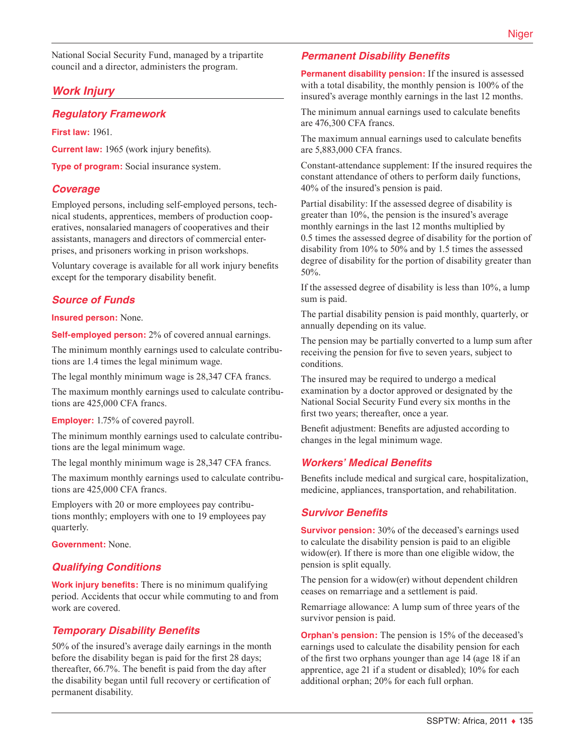National Social Security Fund, managed by a tripartite council and a director, administers the program.

# *Work Injury*

## *Regulatory Framework*

**First law:** 1961.

**Current law:** 1965 (work injury benefits).

**Type of program:** Social insurance system.

#### *Coverage*

Employed persons, including self-employed persons, technical students, apprentices, members of production cooperatives, nonsalaried managers of cooperatives and their assistants, managers and directors of commercial enterprises, and prisoners working in prison workshops.

Voluntary coverage is available for all work injury benefits except for the temporary disability benefit.

## *Source of Funds*

**Insured person:** None.

**Self-employed person:** 2% of covered annual earnings.

The minimum monthly earnings used to calculate contributions are 1.4 times the legal minimum wage.

The legal monthly minimum wage is 28,347 CFA francs.

The maximum monthly earnings used to calculate contributions are 425,000 CFA francs.

#### **Employer:** 1.75% of covered payroll.

The minimum monthly earnings used to calculate contributions are the legal minimum wage.

The legal monthly minimum wage is 28,347 CFA francs.

The maximum monthly earnings used to calculate contributions are 425,000 CFA francs.

Employers with 20 or more employees pay contributions monthly; employers with one to 19 employees pay quarterly.

**Government:** None.

## *Qualifying Conditions*

**Work injury benefits:** There is no minimum qualifying period. Accidents that occur while commuting to and from work are covered.

## *Temporary Disability Benefits*

50% of the insured's average daily earnings in the month before the disability began is paid for the first 28 days; thereafter, 66.7%. The benefit is paid from the day after the disability began until full recovery or certification of permanent disability.

#### *Permanent Disability Benefits*

**Permanent disability pension:** If the insured is assessed with a total disability, the monthly pension is 100% of the insured's average monthly earnings in the last 12 months.

The minimum annual earnings used to calculate benefits are 476,300 CFA francs.

The maximum annual earnings used to calculate benefits are 5,883,000 CFA francs.

Constant-attendance supplement: If the insured requires the constant attendance of others to perform daily functions, 40% of the insured's pension is paid.

Partial disability: If the assessed degree of disability is greater than 10%, the pension is the insured's average monthly earnings in the last 12 months multiplied by 0.5 times the assessed degree of disability for the portion of disability from 10% to 50% and by 1.5 times the assessed degree of disability for the portion of disability greater than 50%.

If the assessed degree of disability is less than 10%, a lump sum is paid.

The partial disability pension is paid monthly, quarterly, or annually depending on its value.

The pension may be partially converted to a lump sum after receiving the pension for five to seven years, subject to conditions.

The insured may be required to undergo a medical examination by a doctor approved or designated by the National Social Security Fund every six months in the first two years; thereafter, once a year.

Benefit adjustment: Benefits are adjusted according to changes in the legal minimum wage.

## *Workers' Medical Benefits*

Benefits include medical and surgical care, hospitalization, medicine, appliances, transportation, and rehabilitation.

#### *Survivor Benefits*

**Survivor pension:** 30% of the deceased's earnings used to calculate the disability pension is paid to an eligible widow(er). If there is more than one eligible widow, the pension is split equally.

The pension for a widow(er) without dependent children ceases on remarriage and a settlement is paid.

Remarriage allowance: A lump sum of three years of the survivor pension is paid.

**Orphan's pension:** The pension is 15% of the deceased's earnings used to calculate the disability pension for each of the first two orphans younger than age 14 (age 18 if an apprentice, age 21 if a student or disabled); 10% for each additional orphan; 20% for each full orphan.